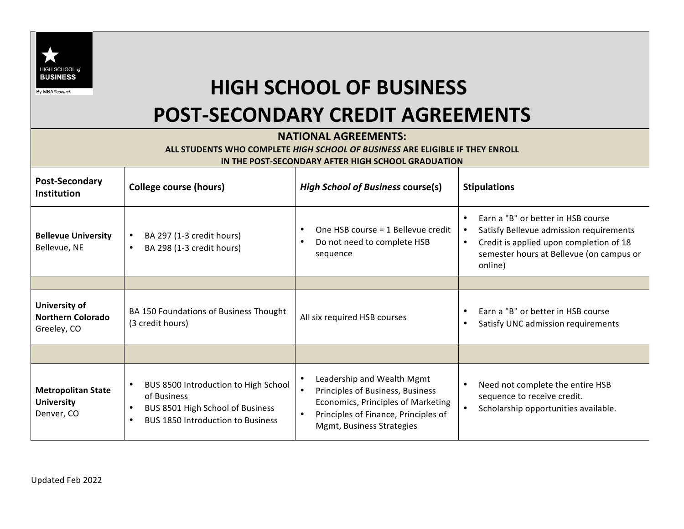

## **HIGH SCHOOL OF BUSINESS POST-SECONDARY CREDIT AGREEMENTS**

## **NATIONAL AGREEMENTS:**

## ALL STUDENTS WHO COMPLETE *HIGH SCHOOL OF BUSINESS* ARE ELIGIBLE IF THEY ENROLL **IN THE POST-SECONDARY AFTER HIGH SCHOOL GRADUATION**

| <b>Post-Secondary</b><br><b>Institution</b>                  | <b>College course (hours)</b>                                                                                                                                              | <b>High School of Business course(s)</b>                                                                                                                                  | <b>Stipulations</b>                                                                                                                                                                                                    |
|--------------------------------------------------------------|----------------------------------------------------------------------------------------------------------------------------------------------------------------------------|---------------------------------------------------------------------------------------------------------------------------------------------------------------------------|------------------------------------------------------------------------------------------------------------------------------------------------------------------------------------------------------------------------|
| <b>Bellevue University</b><br>Bellevue, NE                   | BA 297 (1-3 credit hours)<br>$\bullet$<br>BA 298 (1-3 credit hours)<br>$\bullet$                                                                                           | One HSB course = 1 Bellevue credit<br>$\bullet$<br>Do not need to complete HSB<br>sequence                                                                                | Earn a "B" or better in HSB course<br>$\bullet$<br>Satisfy Bellevue admission requirements<br>$\bullet$<br>Credit is applied upon completion of 18<br>$\bullet$<br>semester hours at Bellevue (on campus or<br>online) |
|                                                              |                                                                                                                                                                            |                                                                                                                                                                           |                                                                                                                                                                                                                        |
| University of<br><b>Northern Colorado</b><br>Greeley, CO     | BA 150 Foundations of Business Thought<br>(3 credit hours)                                                                                                                 | All six required HSB courses                                                                                                                                              | Earn a "B" or better in HSB course<br>$\bullet$<br>Satisfy UNC admission requirements<br>$\bullet$                                                                                                                     |
|                                                              |                                                                                                                                                                            |                                                                                                                                                                           |                                                                                                                                                                                                                        |
| <b>Metropolitan State</b><br><b>University</b><br>Denver, CO | BUS 8500 Introduction to High School<br>$\bullet$<br>of Business<br>BUS 8501 High School of Business<br>$\bullet$<br><b>BUS 1850 Introduction to Business</b><br>$\bullet$ | Leadership and Wealth Mgmt<br>Principles of Business, Business<br>Economics, Principles of Marketing<br>Principles of Finance, Principles of<br>Mgmt, Business Strategies | Need not complete the entire HSB<br>$\bullet$<br>sequence to receive credit.<br>Scholarship opportunities available.<br>$\bullet$                                                                                      |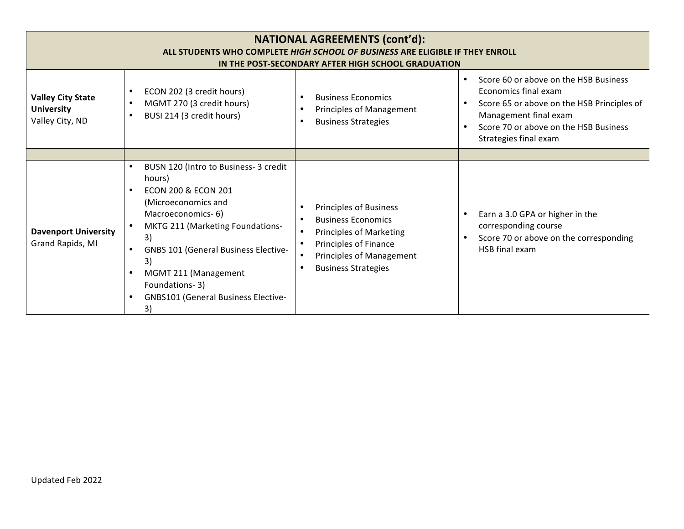| <b>NATIONAL AGREEMENTS (cont'd):</b><br>ALL STUDENTS WHO COMPLETE HIGH SCHOOL OF BUSINESS ARE ELIGIBLE IF THEY ENROLL<br>IN THE POST-SECONDARY AFTER HIGH SCHOOL GRADUATION |                                                                                                                                                                                                                                                                                                                                                                                |                                                                                                                                                                                 |                                                                                                                                                                                                                     |  |
|-----------------------------------------------------------------------------------------------------------------------------------------------------------------------------|--------------------------------------------------------------------------------------------------------------------------------------------------------------------------------------------------------------------------------------------------------------------------------------------------------------------------------------------------------------------------------|---------------------------------------------------------------------------------------------------------------------------------------------------------------------------------|---------------------------------------------------------------------------------------------------------------------------------------------------------------------------------------------------------------------|--|
| <b>Valley City State</b><br><b>University</b><br>Valley City, ND                                                                                                            | ECON 202 (3 credit hours)<br>MGMT 270 (3 credit hours)<br>$\bullet$<br>BUSI 214 (3 credit hours)                                                                                                                                                                                                                                                                               | <b>Business Economics</b><br>Principles of Management<br><b>Business Strategies</b>                                                                                             | Score 60 or above on the HSB Business<br>$\bullet$<br>Economics final exam<br>Score 65 or above on the HSB Principles of<br>Management final exam<br>Score 70 or above on the HSB Business<br>Strategies final exam |  |
|                                                                                                                                                                             |                                                                                                                                                                                                                                                                                                                                                                                |                                                                                                                                                                                 |                                                                                                                                                                                                                     |  |
| <b>Davenport University</b><br>Grand Rapids, MI                                                                                                                             | BUSN 120 (Intro to Business- 3 credit<br>$\bullet$<br>hours)<br><b>ECON 200 &amp; ECON 201</b><br>$\bullet$<br>(Microeconomics and<br>Macroeconomics-6)<br>MKTG 211 (Marketing Foundations-<br>3)<br><b>GNBS 101 (General Business Elective-</b><br>3)<br>MGMT 211 (Management<br>$\bullet$<br>Foundations-3)<br><b>GNBS101 (General Business Elective-</b><br>$\bullet$<br>3) | <b>Principles of Business</b><br><b>Business Economics</b><br><b>Principles of Marketing</b><br>Principles of Finance<br>Principles of Management<br><b>Business Strategies</b> | Earn a 3.0 GPA or higher in the<br>corresponding course<br>Score 70 or above on the corresponding<br>HSB final exam                                                                                                 |  |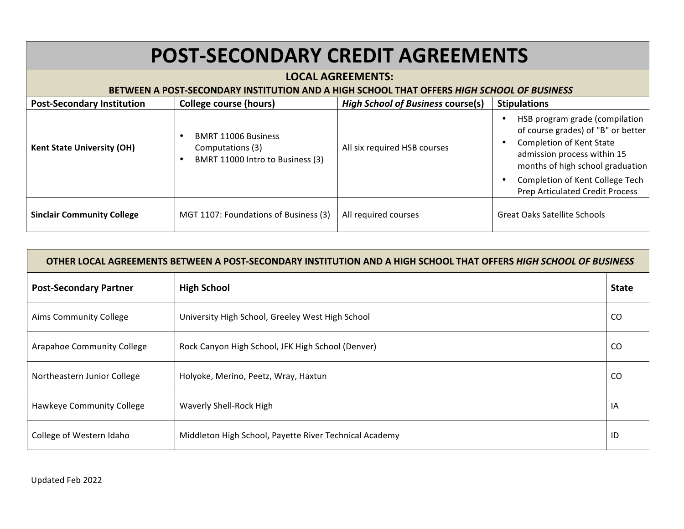| <b>POST-SECONDARY CREDIT AGREEMENTS</b>                                                                                |                                                                                    |                                          |                                                                                                                                                                                                                                                  |  |  |
|------------------------------------------------------------------------------------------------------------------------|------------------------------------------------------------------------------------|------------------------------------------|--------------------------------------------------------------------------------------------------------------------------------------------------------------------------------------------------------------------------------------------------|--|--|
| <b>LOCAL AGREEMENTS:</b><br>BETWEEN A POST-SECONDARY INSTITUTION AND A HIGH SCHOOL THAT OFFERS HIGH SCHOOL OF BUSINESS |                                                                                    |                                          |                                                                                                                                                                                                                                                  |  |  |
| <b>Post-Secondary Institution</b>                                                                                      | College course (hours)                                                             | <b>High School of Business course(s)</b> | <b>Stipulations</b>                                                                                                                                                                                                                              |  |  |
| <b>Kent State University (OH)</b>                                                                                      | <b>BMRT 11006 Business</b><br>Computations (3)<br>BMRT 11000 Intro to Business (3) | All six required HSB courses             | HSB program grade (compilation<br>of course grades) of "B" or better<br>Completion of Kent State<br>admission process within 15<br>months of high school graduation<br>Completion of Kent College Tech<br><b>Prep Articulated Credit Process</b> |  |  |
| <b>Sinclair Community College</b>                                                                                      | MGT 1107: Foundations of Business (3)                                              | All required courses                     | Great Oaks Satellite Schools                                                                                                                                                                                                                     |  |  |

| OTHER LOCAL AGREEMENTS BETWEEN A POST-SECONDARY INSTITUTION AND A HIGH SCHOOL THAT OFFERS HIGH SCHOOL OF BUSINESS |                                                        |              |  |
|-------------------------------------------------------------------------------------------------------------------|--------------------------------------------------------|--------------|--|
| <b>Post-Secondary Partner</b>                                                                                     | <b>High School</b>                                     | <b>State</b> |  |
| Aims Community College                                                                                            | University High School, Greeley West High School       | CO.          |  |
| Arapahoe Community College                                                                                        | Rock Canyon High School, JFK High School (Denver)      | CO.          |  |
| Northeastern Junior College                                                                                       | Holyoke, Merino, Peetz, Wray, Haxtun                   | CO.          |  |
| Hawkeye Community College                                                                                         | Waverly Shell-Rock High                                | ΙA           |  |
| College of Western Idaho                                                                                          | Middleton High School, Payette River Technical Academy | ID           |  |